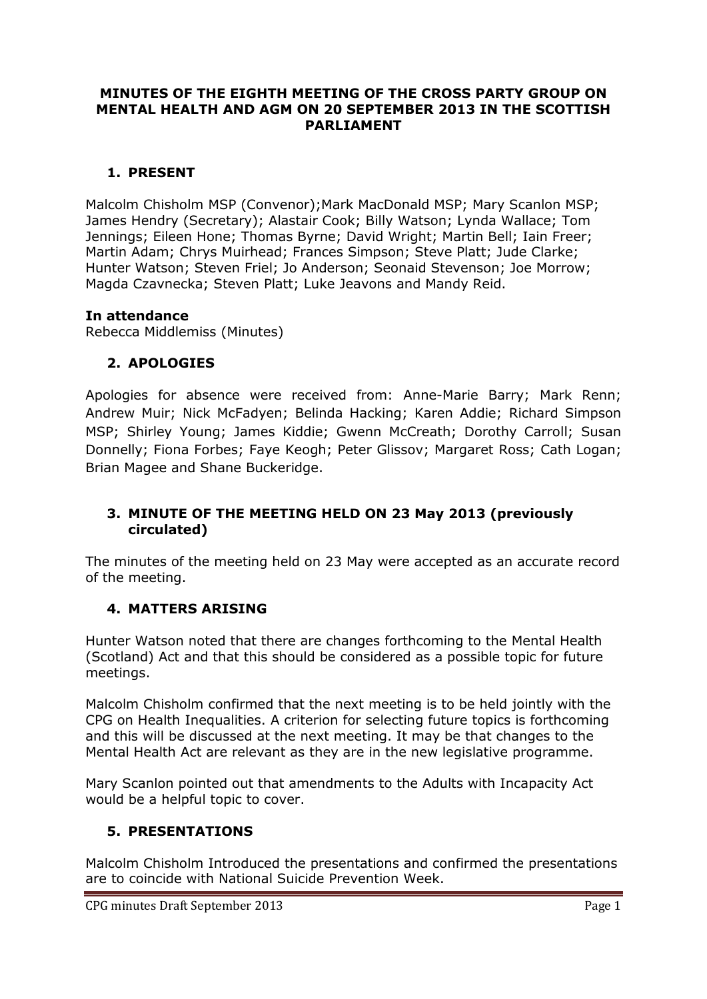#### **MINUTES OF THE EIGHTH MEETING OF THE CROSS PARTY GROUP ON MENTAL HEALTH AND AGM ON 20 SEPTEMBER 2013 IN THE SCOTTISH PARLIAMENT**

### **1. PRESENT**

Malcolm Chisholm MSP (Convenor);Mark MacDonald MSP; Mary Scanlon MSP; James Hendry (Secretary); Alastair Cook; Billy Watson; Lynda Wallace; Tom Jennings; Eileen Hone; Thomas Byrne; David Wright; Martin Bell; Iain Freer; Martin Adam; Chrys Muirhead; Frances Simpson; Steve Platt; Jude Clarke; Hunter Watson; Steven Friel; Jo Anderson; Seonaid Stevenson; Joe Morrow; Magda Czavnecka; Steven Platt; Luke Jeavons and Mandy Reid.

#### **In attendance**

Rebecca Middlemiss (Minutes)

#### **2. APOLOGIES**

Apologies for absence were received from: Anne-Marie Barry; Mark Renn; Andrew Muir; Nick McFadyen; Belinda Hacking; Karen Addie; Richard Simpson MSP; Shirley Young; James Kiddie; Gwenn McCreath; Dorothy Carroll; Susan Donnelly; Fiona Forbes; Faye Keogh; Peter Glissov; Margaret Ross; Cath Logan; Brian Magee and Shane Buckeridge.

### **3. MINUTE OF THE MEETING HELD ON 23 May 2013 (previously circulated)**

The minutes of the meeting held on 23 May were accepted as an accurate record of the meeting.

#### **4. MATTERS ARISING**

Hunter Watson noted that there are changes forthcoming to the Mental Health (Scotland) Act and that this should be considered as a possible topic for future meetings.

Malcolm Chisholm confirmed that the next meeting is to be held jointly with the CPG on Health Inequalities. A criterion for selecting future topics is forthcoming and this will be discussed at the next meeting. It may be that changes to the Mental Health Act are relevant as they are in the new legislative programme.

Mary Scanlon pointed out that amendments to the Adults with Incapacity Act would be a helpful topic to cover.

# **5. PRESENTATIONS**

Malcolm Chisholm Introduced the presentations and confirmed the presentations are to coincide with National Suicide Prevention Week.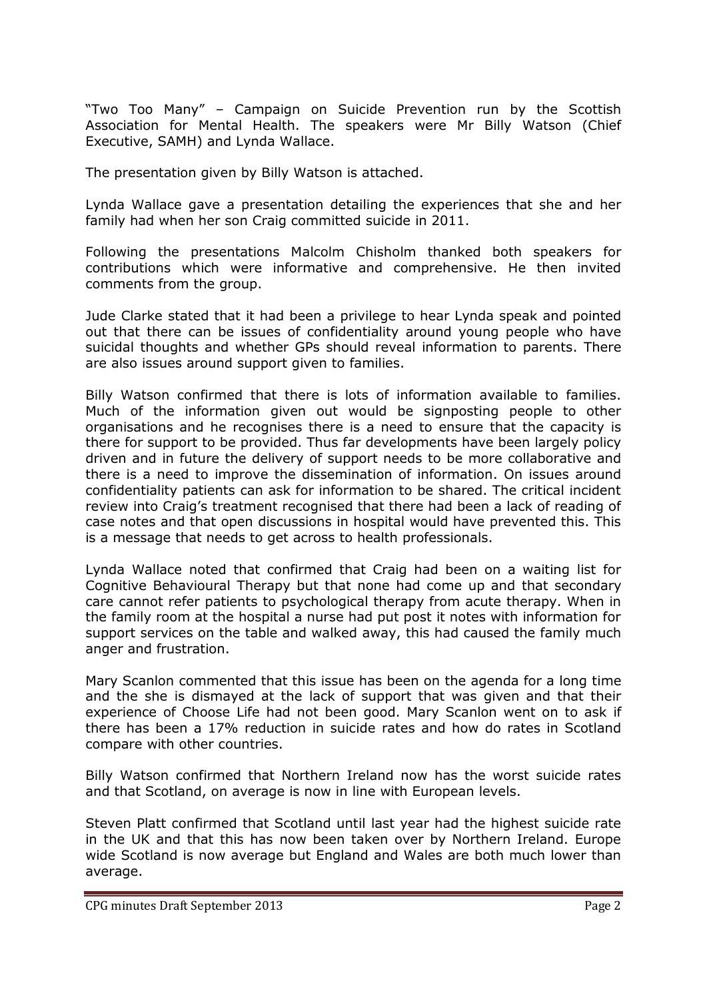"Two Too Many" – Campaign on Suicide Prevention run by the Scottish Association for Mental Health. The speakers were Mr Billy Watson (Chief Executive, SAMH) and Lynda Wallace.

The presentation given by Billy Watson is attached.

Lynda Wallace gave a presentation detailing the experiences that she and her family had when her son Craig committed suicide in 2011.

Following the presentations Malcolm Chisholm thanked both speakers for contributions which were informative and comprehensive. He then invited comments from the group.

Jude Clarke stated that it had been a privilege to hear Lynda speak and pointed out that there can be issues of confidentiality around young people who have suicidal thoughts and whether GPs should reveal information to parents. There are also issues around support given to families.

Billy Watson confirmed that there is lots of information available to families. Much of the information given out would be signposting people to other organisations and he recognises there is a need to ensure that the capacity is there for support to be provided. Thus far developments have been largely policy driven and in future the delivery of support needs to be more collaborative and there is a need to improve the dissemination of information. On issues around confidentiality patients can ask for information to be shared. The critical incident review into Craig's treatment recognised that there had been a lack of reading of case notes and that open discussions in hospital would have prevented this. This is a message that needs to get across to health professionals.

Lynda Wallace noted that confirmed that Craig had been on a waiting list for Cognitive Behavioural Therapy but that none had come up and that secondary care cannot refer patients to psychological therapy from acute therapy. When in the family room at the hospital a nurse had put post it notes with information for support services on the table and walked away, this had caused the family much anger and frustration.

Mary Scanlon commented that this issue has been on the agenda for a long time and the she is dismayed at the lack of support that was given and that their experience of Choose Life had not been good. Mary Scanlon went on to ask if there has been a 17% reduction in suicide rates and how do rates in Scotland compare with other countries.

Billy Watson confirmed that Northern Ireland now has the worst suicide rates and that Scotland, on average is now in line with European levels.

Steven Platt confirmed that Scotland until last year had the highest suicide rate in the UK and that this has now been taken over by Northern Ireland. Europe wide Scotland is now average but England and Wales are both much lower than average.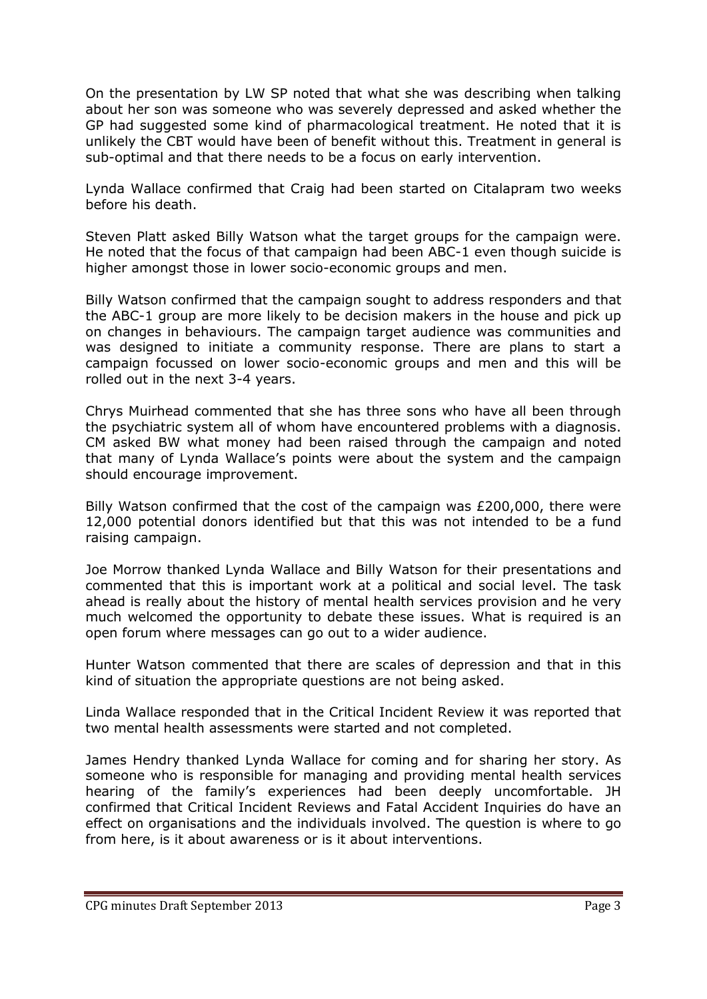On the presentation by LW SP noted that what she was describing when talking about her son was someone who was severely depressed and asked whether the GP had suggested some kind of pharmacological treatment. He noted that it is unlikely the CBT would have been of benefit without this. Treatment in general is sub-optimal and that there needs to be a focus on early intervention.

Lynda Wallace confirmed that Craig had been started on Citalapram two weeks before his death.

Steven Platt asked Billy Watson what the target groups for the campaign were. He noted that the focus of that campaign had been ABC-1 even though suicide is higher amongst those in lower socio-economic groups and men.

Billy Watson confirmed that the campaign sought to address responders and that the ABC-1 group are more likely to be decision makers in the house and pick up on changes in behaviours. The campaign target audience was communities and was designed to initiate a community response. There are plans to start a campaign focussed on lower socio-economic groups and men and this will be rolled out in the next 3-4 years.

Chrys Muirhead commented that she has three sons who have all been through the psychiatric system all of whom have encountered problems with a diagnosis. CM asked BW what money had been raised through the campaign and noted that many of Lynda Wallace's points were about the system and the campaign should encourage improvement.

Billy Watson confirmed that the cost of the campaign was £200,000, there were 12,000 potential donors identified but that this was not intended to be a fund raising campaign.

Joe Morrow thanked Lynda Wallace and Billy Watson for their presentations and commented that this is important work at a political and social level. The task ahead is really about the history of mental health services provision and he very much welcomed the opportunity to debate these issues. What is required is an open forum where messages can go out to a wider audience.

Hunter Watson commented that there are scales of depression and that in this kind of situation the appropriate questions are not being asked.

Linda Wallace responded that in the Critical Incident Review it was reported that two mental health assessments were started and not completed.

James Hendry thanked Lynda Wallace for coming and for sharing her story. As someone who is responsible for managing and providing mental health services hearing of the family's experiences had been deeply uncomfortable. JH confirmed that Critical Incident Reviews and Fatal Accident Inquiries do have an effect on organisations and the individuals involved. The question is where to go from here, is it about awareness or is it about interventions.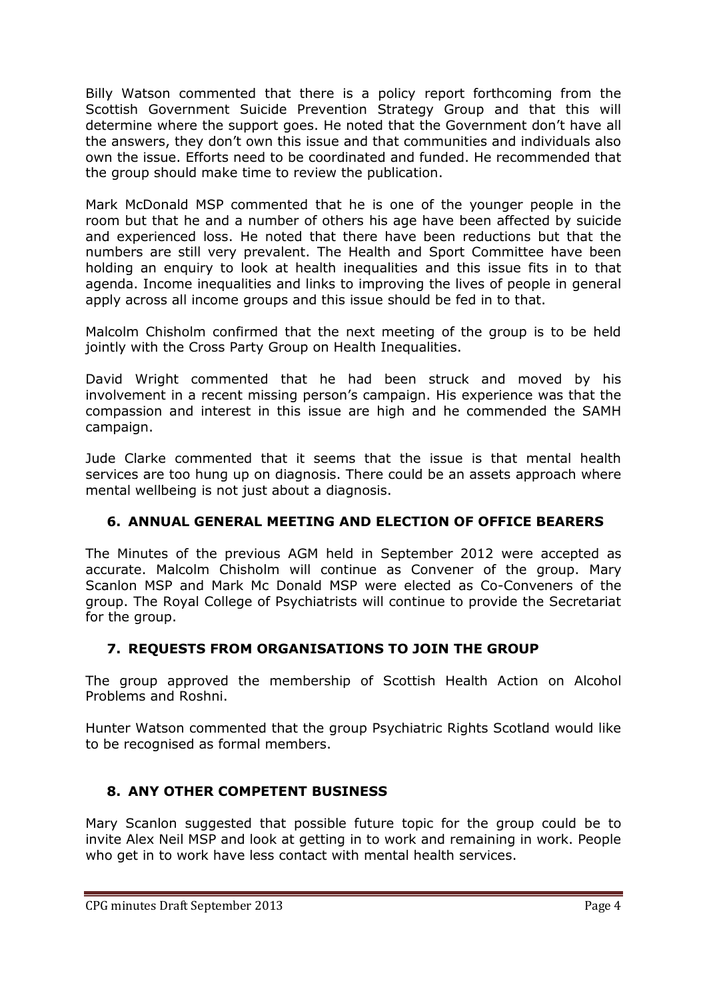Billy Watson commented that there is a policy report forthcoming from the Scottish Government Suicide Prevention Strategy Group and that this will determine where the support goes. He noted that the Government don't have all the answers, they don't own this issue and that communities and individuals also own the issue. Efforts need to be coordinated and funded. He recommended that the group should make time to review the publication.

Mark McDonald MSP commented that he is one of the younger people in the room but that he and a number of others his age have been affected by suicide and experienced loss. He noted that there have been reductions but that the numbers are still very prevalent. The Health and Sport Committee have been holding an enquiry to look at health inequalities and this issue fits in to that agenda. Income inequalities and links to improving the lives of people in general apply across all income groups and this issue should be fed in to that.

Malcolm Chisholm confirmed that the next meeting of the group is to be held jointly with the Cross Party Group on Health Inequalities.

David Wright commented that he had been struck and moved by his involvement in a recent missing person's campaign. His experience was that the compassion and interest in this issue are high and he commended the SAMH campaign.

Jude Clarke commented that it seems that the issue is that mental health services are too hung up on diagnosis. There could be an assets approach where mental wellbeing is not just about a diagnosis.

# **6. ANNUAL GENERAL MEETING AND ELECTION OF OFFICE BEARERS**

The Minutes of the previous AGM held in September 2012 were accepted as accurate. Malcolm Chisholm will continue as Convener of the group. Mary Scanlon MSP and Mark Mc Donald MSP were elected as Co-Conveners of the group. The Royal College of Psychiatrists will continue to provide the Secretariat for the group.

# **7. REQUESTS FROM ORGANISATIONS TO JOIN THE GROUP**

The group approved the membership of Scottish Health Action on Alcohol Problems and Roshni.

Hunter Watson commented that the group Psychiatric Rights Scotland would like to be recognised as formal members.

# **8. ANY OTHER COMPETENT BUSINESS**

Mary Scanlon suggested that possible future topic for the group could be to invite Alex Neil MSP and look at getting in to work and remaining in work. People who get in to work have less contact with mental health services.